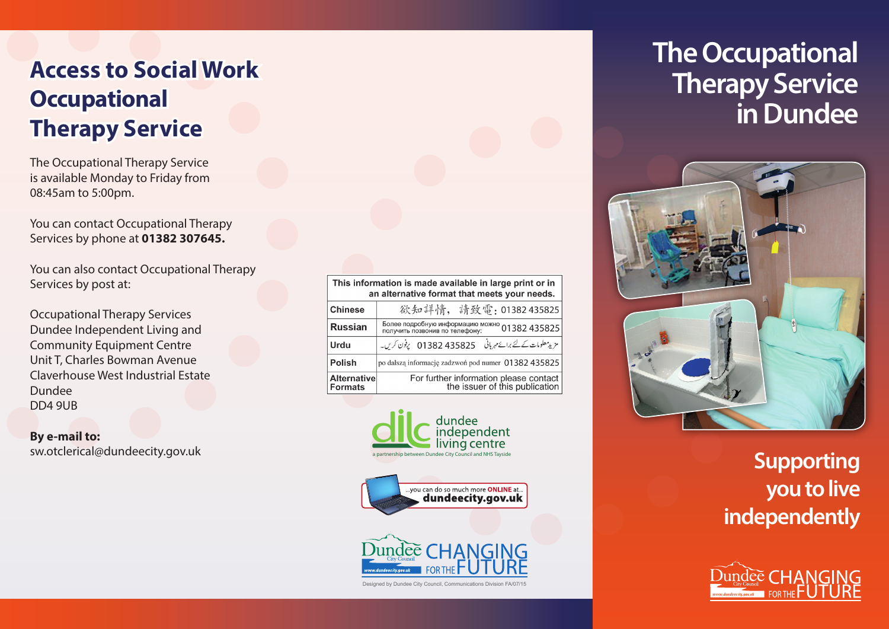# **Access to Social Work Occupational Therapy Service**

The Occupational Therapy Service is available Monday to Friday from 08:45am to 5:00pm.

You can contact Occupational Therapy Services by phone at **01382 307645.**

You can also contact Occupational Therapy Services by post at:

Occupational Therapy Services Dundee Independent Living and Community Equipment Centre Unit T, Charles Bowman Avenue Claverhouse West Industrial Estate Dundee DD4 9UB

**By e-mail to:** sw.otclerical@dundeecity.gov.uk

| This information is made available in large print or in<br>an alternative format that meets your needs. |                                                                          |
|---------------------------------------------------------------------------------------------------------|--------------------------------------------------------------------------|
| <b>Chinese</b>                                                                                          | 欲知詳情, 請致電: 01382 435825                                                  |
| <b>Russian</b>                                                                                          | Более подробную информацию можно 01382 435825                            |
| Urdu                                                                                                    | مزید معلومات کے لئے برائے مہربانی ہے 435825 11382 پرفون کریں۔            |
| <b>Polish</b>                                                                                           | po dalszą informację zadzwoń pod numer 01382435825                       |
| <b>Alternative</b><br><b>Formats</b>                                                                    | For further information please contact<br>the issuer of this publication |







# **The Occupational Therapy Service in Dundee**



### **Supporting you to live independently**